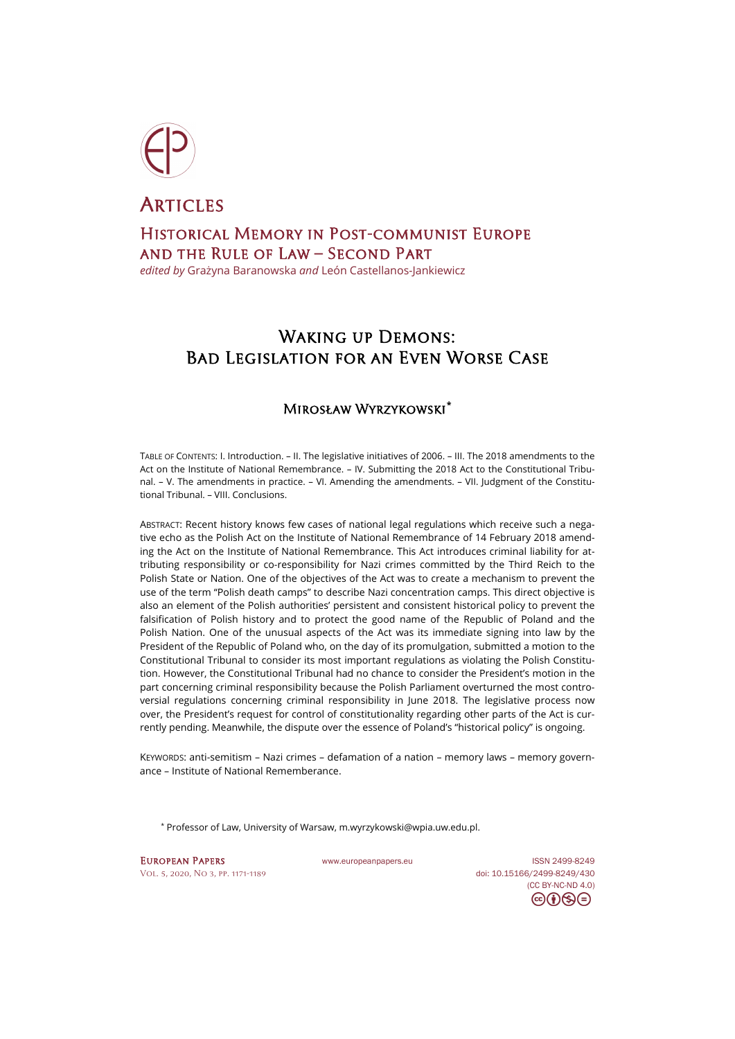

**ARTICLES** Historical Memory in Post-communist Europe and the Rule of Law – Second Part

*edited by* Grażyna Baranowska *and* León Castellanos-Jankiewicz

# WAKING UP DEMONS: Bad Legislation for an Even Worse Case

## Mirosław Wyrzykowski**[\\*](#page-0-0)**

TABLE OF CONTENTS: I. Introduction. – II. The legislative initiatives of 2006. – III. The 2018 amendments to the Act on the Institute of National Remembrance. – IV. Submitting the 2018 Act to the Constitutional Tribunal. – V. The amendments in practice. – VI. Amending the amendments. – VII. Judgment of the Constitutional Tribunal. – VIII. Conclusions.

ABSTRACT: Recent history knows few cases of national legal regulations which receive such a negative echo as the Polish Act on the Institute of National Remembrance of 14 February 2018 amending the Act on the Institute of National Remembrance. This Act introduces criminal liability for attributing responsibility or co-responsibility for Nazi crimes committed by the Third Reich to the Polish State or Nation. One of the objectives of the Act was to create a mechanism to prevent the use of the term "Polish death camps" to describe Nazi concentration camps. This direct objective is also an element of the Polish authorities' persistent and consistent historical policy to prevent the falsification of Polish history and to protect the good name of the Republic of Poland and the Polish Nation. One of the unusual aspects of the Act was its immediate signing into law by the President of the Republic of Poland who, on the day of its promulgation, submitted a motion to the Constitutional Tribunal to consider its most important regulations as violating the Polish Constitution. However, the Constitutional Tribunal had no chance to consider the President's motion in the part concerning criminal responsibility because the Polish Parliament overturned the most controversial regulations concerning criminal responsibility in June 2018. The legislative process now over, the President's request for control of constitutionality regarding other parts of the Act is currently pending. Meanwhile, the dispute over the essence of Poland's "historical policy" is ongoing.

KEYWORDS: anti-semitism – Nazi crimes – defamation of a nation – memory laws – memory governance – Institute of National Rememberance.

\* Professor of Law, University of Warsaw[, m.wyrzykowski@wpia.uw.edu.pl](mailto:m.wyrzykowski@wpia.uw.edu.pl).

<span id="page-0-0"></span>EUROPEAN PAPERS WWW.europeanpapers.eu ISS[N 2499-8249](https://search.datacite.org/works?query=www.europeanpapers.eu) [Vol. 5, 2020, No 3,](https://www.europeanpapers.eu/en/content/e-journal/EP_eJ_2020_3) pp. 1171-1189 doi[: 10.15166/2499-8249/430](https://search.datacite.org/works/10.15166/2499-8249/430)

[\(CC BY-NC-ND 4.0\)](https://creativecommons.org/licenses/by-nc-nd/4.0/)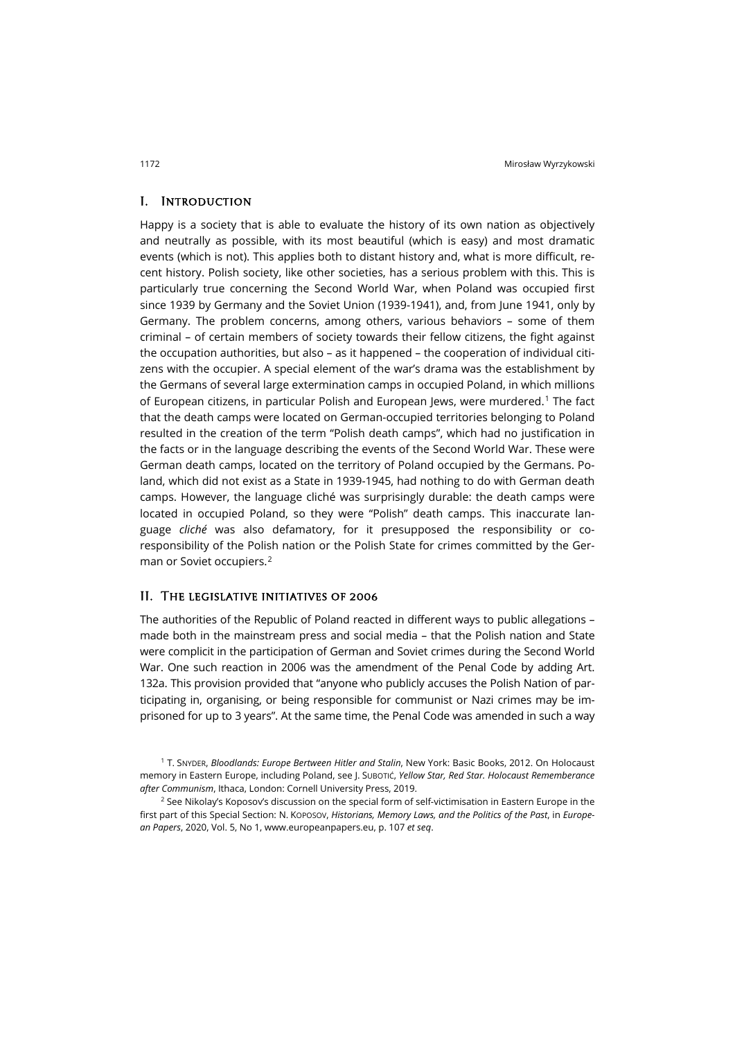#### I. Introduction

Happy is a society that is able to evaluate the history of its own nation as objectively and neutrally as possible, with its most beautiful (which is easy) and most dramatic events (which is not). This applies both to distant history and, what is more difficult, recent history. Polish society, like other societies, has a serious problem with this. This is particularly true concerning the Second World War, when Poland was occupied first since 1939 by Germany and the Soviet Union (1939-1941), and, from June 1941, only by Germany. The problem concerns, among others, various behaviors – some of them criminal – of certain members of society towards their fellow citizens, the fight against the occupation authorities, but also – as it happened – the cooperation of individual citizens with the occupier. A special element of the war's drama was the establishment by the Germans of several large extermination camps in occupied Poland, in which millions of European citizens, in particular Polish and European Jews, were murdered.<sup>[1](#page-1-0)</sup> The fact that the death camps were located on German-occupied territories belonging to Poland resulted in the creation of the term "Polish death camps", which had no justification in the facts or in the language describing the events of the Second World War. These were German death camps, located on the territory of Poland occupied by the Germans. Poland, which did not exist as a State in 1939-1945, had nothing to do with German death camps. However, the language cliché was surprisingly durable: the death camps were located in occupied Poland, so they were "Polish" death camps. This inaccurate language *cliché* was also defamatory, for it presupposed the responsibility or coresponsibility of the Polish nation or the Polish State for crimes committed by the German or Soviet occupiers.[2](#page-1-1)

#### II. The legislative initiatives of 2006

The authorities of the Republic of Poland reacted in different ways to public allegations – made both in the mainstream press and social media – that the Polish nation and State were complicit in the participation of German and Soviet crimes during the Second World War. One such reaction in 2006 was the amendment of the Penal Code by adding Art. 132a. This provision provided that "anyone who publicly accuses the Polish Nation of participating in, organising, or being responsible for communist or Nazi crimes may be imprisoned for up to 3 years". At the same time, the Penal Code was amended in such a way

<span id="page-1-0"></span><sup>1</sup> T. SNYDER, *Bloodlands: Europe Bertween Hitler and Stalin*, New York: Basic Books, 2012. On Holocaust memory in Eastern Europe, including Poland, see J. SUBOTIĆ, *Yellow Star, Red Star. Holocaust Rememberance after Communism*, Ithaca, London: Cornell University Press, 2019.

<span id="page-1-1"></span><sup>2</sup> See Nikolay's Koposov's discussion on the special form of self-victimisation in Eastern Europe in the first part of this Special Section: N. KOPOSOV, *Historians, Memory Laws, and the Politics of the Past*, in *European Papers*, 2020, Vol. 5, No 1, [www.europeanpapers.eu,](http://www.europeanpapers.eu/it/e-journal/historians-memory-laws-and-politics-of-the-past) p. 107 *et seq*.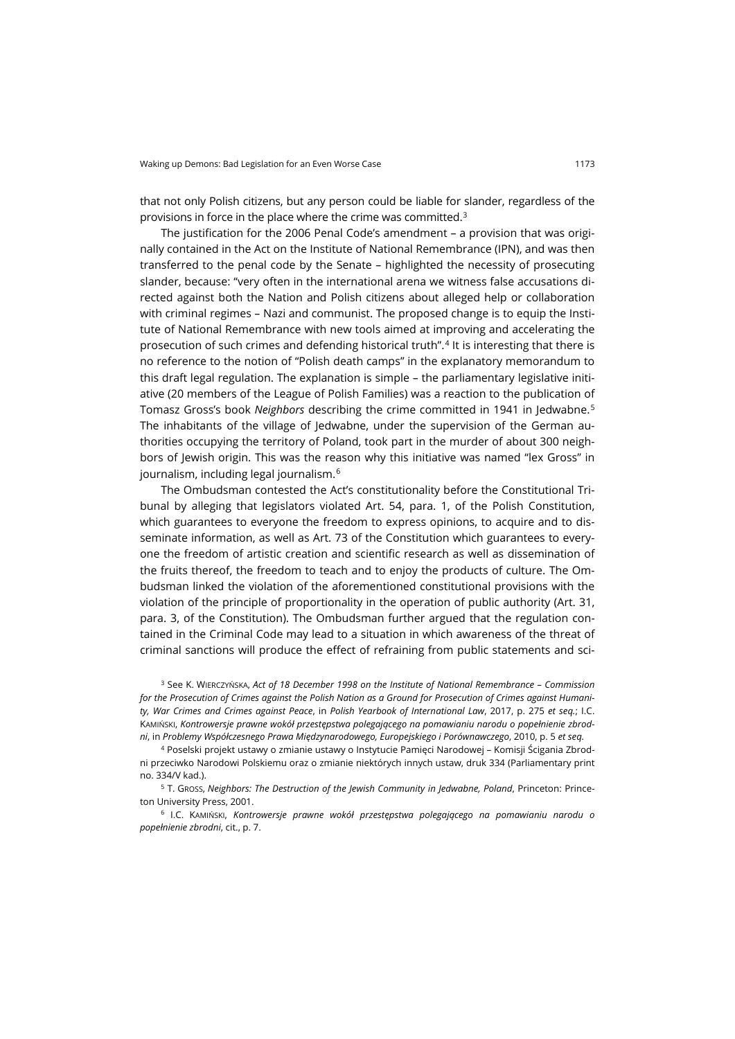that not only Polish citizens, but any person could be liable for slander, regardless of the provisions in force in the place where the crime was committed.[3](#page-2-0)

The justification for the 2006 Penal Code's amendment – a provision that was originally contained in the Act on the Institute of National Remembrance (IPN), and was then transferred to the penal code by the Senate – highlighted the necessity of prosecuting slander, because: "very often in the international arena we witness false accusations directed against both the Nation and Polish citizens about alleged help or collaboration with criminal regimes – Nazi and communist. The proposed change is to equip the Institute of National Remembrance with new tools aimed at improving and accelerating the prosecution of such crimes and defending historical truth".[4](#page-2-1) It is interesting that there is no reference to the notion of "Polish death camps" in the explanatory memorandum to this draft legal regulation. The explanation is simple – the parliamentary legislative initiative (20 members of the League of Polish Families) was a reaction to the publication of Tomasz Gross's book *Neighbors* describing the crime committed in 1941 in Jedwabne.[5](#page-2-2) The inhabitants of the village of Jedwabne, under the supervision of the German authorities occupying the territory of Poland, took part in the murder of about 300 neighbors of Jewish origin. This was the reason why this initiative was named "lex Gross" in journalism, including legal journalism.[6](#page-2-3)

The Ombudsman contested the Act's constitutionality before the Constitutional Tribunal by alleging that legislators violated Art. 54, para. 1, of the Polish Constitution, which guarantees to everyone the freedom to express opinions, to acquire and to disseminate information, as well as Art. 73 of the Constitution which guarantees to everyone the freedom of artistic creation and scientific research as well as dissemination of the fruits thereof, the freedom to teach and to enjoy the products of culture. The Ombudsman linked the violation of the aforementioned constitutional provisions with the violation of the principle of proportionality in the operation of public authority (Art. 31, para. 3, of the Constitution). The Ombudsman further argued that the regulation contained in the Criminal Code may lead to a situation in which awareness of the threat of criminal sanctions will produce the effect of refraining from public statements and sci-

<span id="page-2-0"></span><sup>3</sup> See K. WIERCZYŃSKA, *Act of 18 December 1998 on the Institute of National Remembrance – Commission for the Prosecution of Crimes against the Polish Nation as a Ground for Prosecution of Crimes against Humanity, War Crimes and Crimes against Peace*, in *Polish Yearbook of International Law*, 2017, p. 275 *et seq.*; I.C. KAMIŃSKI, *Kontrowersje prawne wokół przestępstwa polegającego na pomawianiu narodu o popełnienie zbrodni*, in *Problemy Współczesnego Prawa Międzynarodowego, Europejskiego i Porównawczego*, 2010, p. 5 *et seq.*

<span id="page-2-1"></span><sup>4</sup> Poselski projekt ustawy o zmianie ustawy o Instytucie Pamięci Narodowej – Komisji Ścigania Zbrodni przeciwko Narodowi Polskiemu oraz o zmianie niektórych innych ustaw, druk 334 (Parliamentary print no. 334/V kad.).

<span id="page-2-2"></span><sup>5</sup> T. GROSS, *Neighbors: The Destruction of the Jewish Community in Jedwabne, Poland*, Princeton: Princeton University Press, 2001.

<span id="page-2-3"></span><sup>6</sup> I.C. KAMIŃSKI, *Kontrowersje prawne wokół przestępstwa polegającego na pomawianiu narodu o popełnienie zbrodni*, cit., p. 7.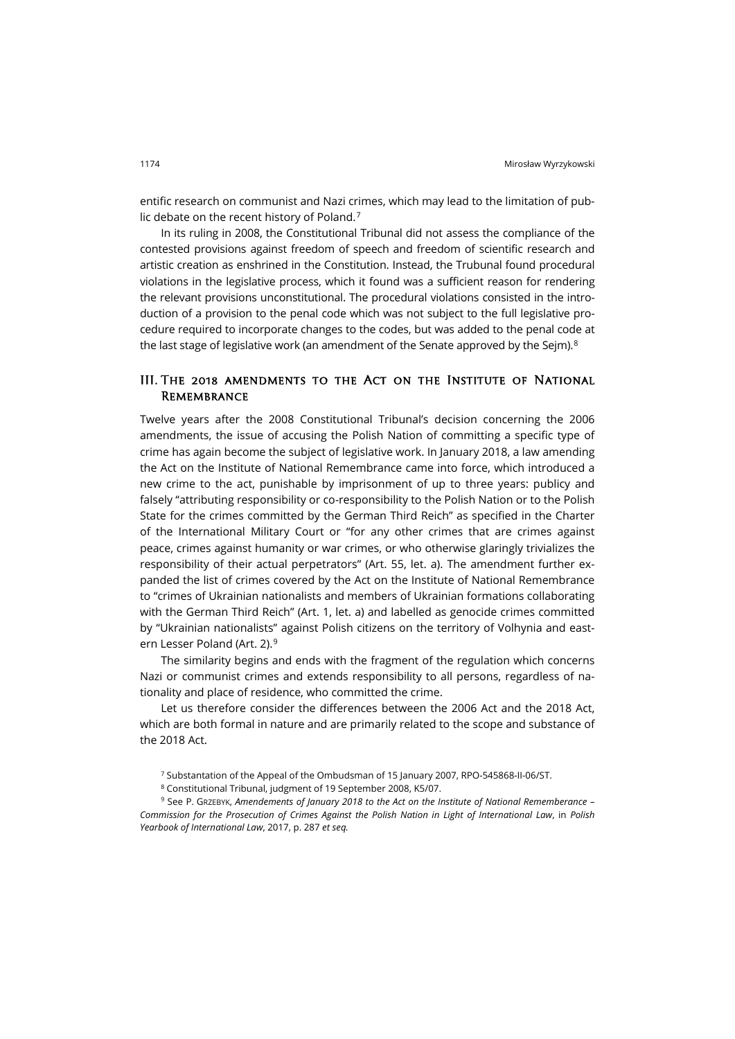entific research on communist and Nazi crimes, which may lead to the limitation of public debate on the recent history of Poland.[7](#page-3-0)

In its ruling in 2008, the Constitutional Tribunal did not assess the compliance of the contested provisions against freedom of speech and freedom of scientific research and artistic creation as enshrined in the Constitution. Instead, the Trubunal found procedural violations in the legislative process, which it found was a sufficient reason for rendering the relevant provisions unconstitutional. The procedural violations consisted in the introduction of a provision to the penal code which was not subject to the full legislative procedure required to incorporate changes to the codes, but was added to the penal code at the last stage of legislative work (an amendment of the Senate approved by the Seim). $8$ 

## III. The 2018 amendments to the Act on the Institute of National **REMEMBRANCE**

Twelve years after the 2008 Constitutional Tribunal's decision concerning the 2006 amendments, the issue of accusing the Polish Nation of committing a specific type of crime has again become the subject of legislative work. In January 2018, a law amending the Act on the Institute of National Remembrance came into force, which introduced a new crime to the act, punishable by imprisonment of up to three years: publicy and falsely "attributing responsibility or co-responsibility to the Polish Nation or to the Polish State for the crimes committed by the German Third Reich" as specified in the Charter of the International Military Court or "for any other crimes that are crimes against peace, crimes against humanity or war crimes, or who otherwise glaringly trivializes the responsibility of their actual perpetrators" (Art. 55, let. a). The amendment further expanded the list of crimes covered by the Act on the Institute of National Remembrance to "crimes of Ukrainian nationalists and members of Ukrainian formations collaborating with the German Third Reich" (Art. 1, let. a) and labelled as genocide crimes committed by "Ukrainian nationalists" against Polish citizens on the territory of Volhynia and eastern Lesser Poland (Art. 2).[9](#page-3-2)

The similarity begins and ends with the fragment of the regulation which concerns Nazi or communist crimes and extends responsibility to all persons, regardless of nationality and place of residence, who committed the crime.

Let us therefore consider the differences between the 2006 Act and the 2018 Act, which are both formal in nature and are primarily related to the scope and substance of the 2018 Act.

<sup>7</sup> Substantation of the Appeal of the Ombudsman of 15 January 2007, RPO-545868-II-06/ST.

<sup>8</sup> Constitutional Tribunal, judgment of 19 September 2008, K5/07.

<span id="page-3-2"></span><span id="page-3-1"></span><span id="page-3-0"></span><sup>9</sup> See P. GRZEBYK, *Amendements of January 2018 to the Act on the Institute of National Rememberance – Commission for the Prosecution of Crimes Against the Polish Nation in Light of International Law*, in *Polish Yearbook of International Law*, 2017, p. 287 *et seq.*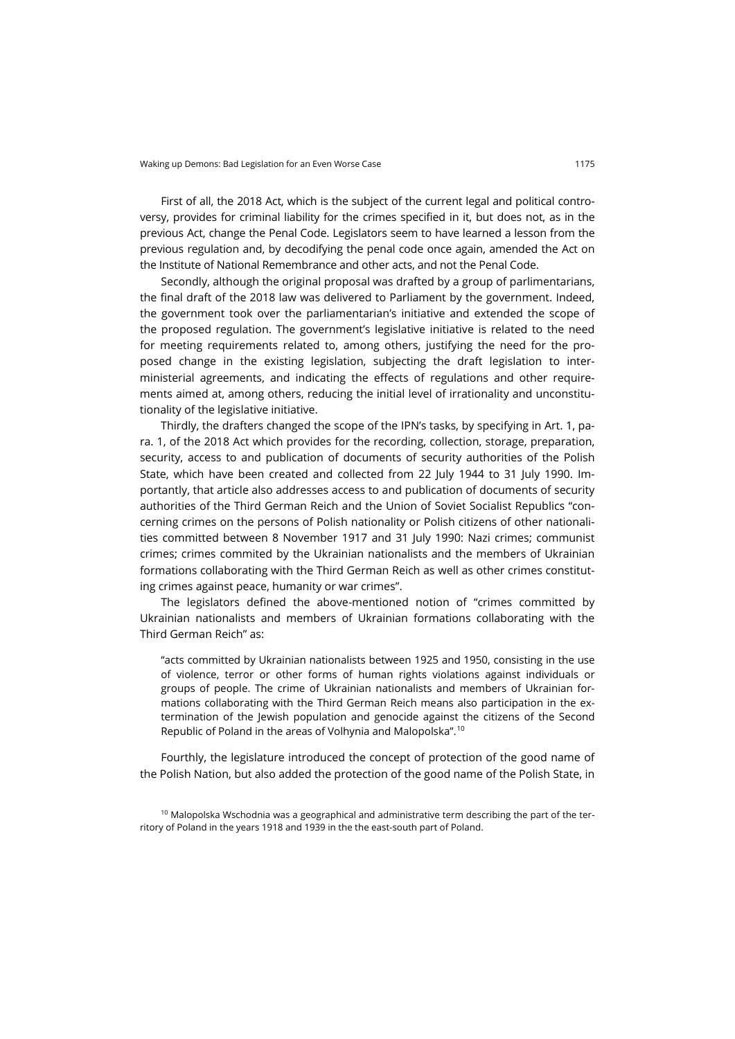First of all, the 2018 Act, which is the subject of the current legal and political controversy, provides for criminal liability for the crimes specified in it, but does not, as in the previous Act, change the Penal Code. Legislators seem to have learned a lesson from the previous regulation and, by decodifying the penal code once again, amended the Act on the Institute of National Remembrance and other acts, and not the Penal Code.

Secondly, although the original proposal was drafted by a group of parlimentarians, the final draft of the 2018 law was delivered to Parliament by the government. Indeed, the government took over the parliamentarian's initiative and extended the scope of the proposed regulation. The government's legislative initiative is related to the need for meeting requirements related to, among others, justifying the need for the proposed change in the existing legislation, subjecting the draft legislation to interministerial agreements, and indicating the effects of regulations and other requirements aimed at, among others, reducing the initial level of irrationality and unconstitutionality of the legislative initiative.

Thirdly, the drafters changed the scope of the IPN's tasks, by specifying in Art. 1, para. 1, of the 2018 Act which provides for the recording, collection, storage, preparation, security, access to and publication of documents of security authorities of the Polish State, which have been created and collected from 22 July 1944 to 31 July 1990. Importantly, that article also addresses access to and publication of documents of security authorities of the Third German Reich and the Union of Soviet Socialist Republics "concerning crimes on the persons of Polish nationality or Polish citizens of other nationalities committed between 8 November 1917 and 31 July 1990: Nazi crimes; communist crimes; crimes commited by the Ukrainian nationalists and the members of Ukrainian formations collaborating with the Third German Reich as well as other crimes constituting crimes against peace, humanity or war crimes".

The legislators defined the above-mentioned notion of "crimes committed by Ukrainian nationalists and members of Ukrainian formations collaborating with the Third German Reich" as:

"acts committed by Ukrainian nationalists between 1925 and 1950, consisting in the use of violence, terror or other forms of human rights violations against individuals or groups of people. The crime of Ukrainian nationalists and members of Ukrainian formations collaborating with the Third German Reich means also participation in the extermination of the Jewish population and genocide against the citizens of the Second Republic of Poland in the areas of Volhynia and Malopolska".[10](#page-4-0)

Fourthly, the legislature introduced the concept of protection of the good name of the Polish Nation, but also added the protection of the good name of the Polish State, in

<span id="page-4-0"></span> $10$  Malopolska Wschodnia was a geographical and administrative term describing the part of the territory of Poland in the years 1918 and 1939 in the the east-south part of Poland.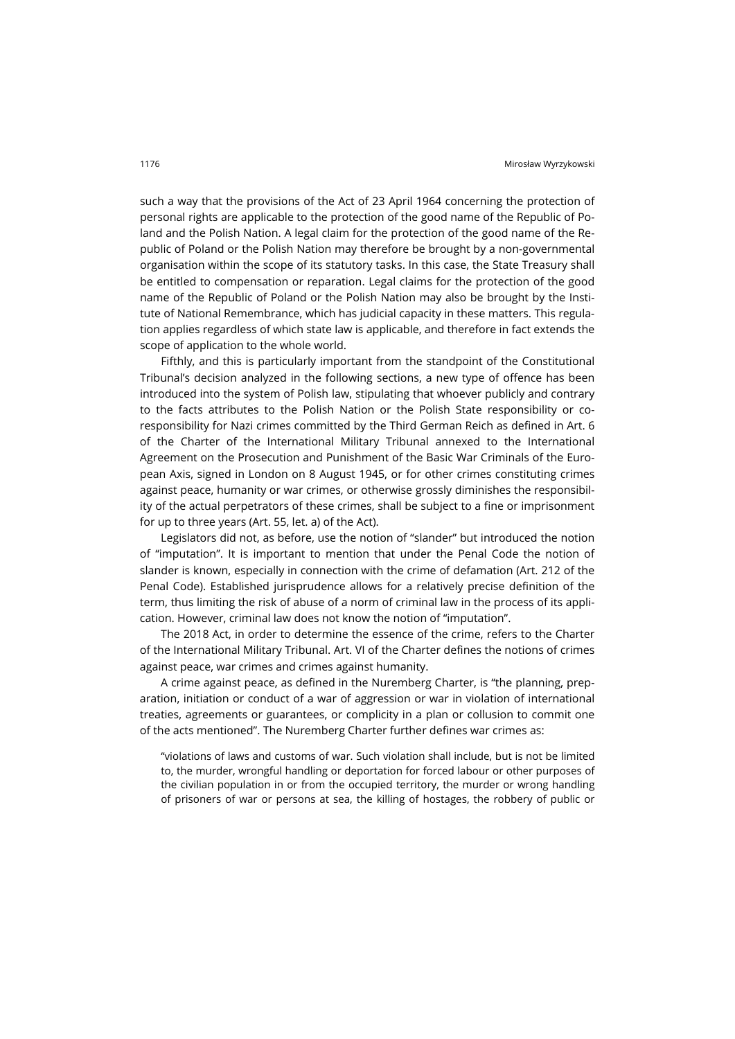such a way that the provisions of the Act of 23 April 1964 concerning the protection of personal rights are applicable to the protection of the good name of the Republic of Poland and the Polish Nation. A legal claim for the protection of the good name of the Republic of Poland or the Polish Nation may therefore be brought by a non-governmental organisation within the scope of its statutory tasks. In this case, the State Treasury shall be entitled to compensation or reparation. Legal claims for the protection of the good name of the Republic of Poland or the Polish Nation may also be brought by the Institute of National Remembrance, which has judicial capacity in these matters. This regulation applies regardless of which state law is applicable, and therefore in fact extends the scope of application to the whole world.

Fifthly, and this is particularly important from the standpoint of the Constitutional Tribunal's decision analyzed in the following sections, a new type of offence has been introduced into the system of Polish law, stipulating that whoever publicly and contrary to the facts attributes to the Polish Nation or the Polish State responsibility or coresponsibility for Nazi crimes committed by the Third German Reich as defined in Art. 6 of the Charter of the International Military Tribunal annexed to the International Agreement on the Prosecution and Punishment of the Basic War Criminals of the European Axis, signed in London on 8 August 1945, or for other crimes constituting crimes against peace, humanity or war crimes, or otherwise grossly diminishes the responsibility of the actual perpetrators of these crimes, shall be subject to a fine or imprisonment for up to three years (Art. 55, let. a) of the Act).

Legislators did not, as before, use the notion of "slander" but introduced the notion of "imputation". It is important to mention that under the Penal Code the notion of slander is known, especially in connection with the crime of defamation (Art. 212 of the Penal Code). Established jurisprudence allows for a relatively precise definition of the term, thus limiting the risk of abuse of a norm of criminal law in the process of its application. However, criminal law does not know the notion of "imputation".

The 2018 Act, in order to determine the essence of the crime, refers to the Charter of the International Military Tribunal. Art. VI of the Charter defines the notions of crimes against peace, war crimes and crimes against humanity.

A crime against peace, as defined in the Nuremberg Charter, is "the planning, preparation, initiation or conduct of a war of aggression or war in violation of international treaties, agreements or guarantees, or complicity in a plan or collusion to commit one of the acts mentioned". The Nuremberg Charter further defines war crimes as:

"violations of laws and customs of war. Such violation shall include, but is not be limited to, the murder, wrongful handling or deportation for forced labour or other purposes of the civilian population in or from the occupied territory, the murder or wrong handling of prisoners of war or persons at sea, the killing of hostages, the robbery of public or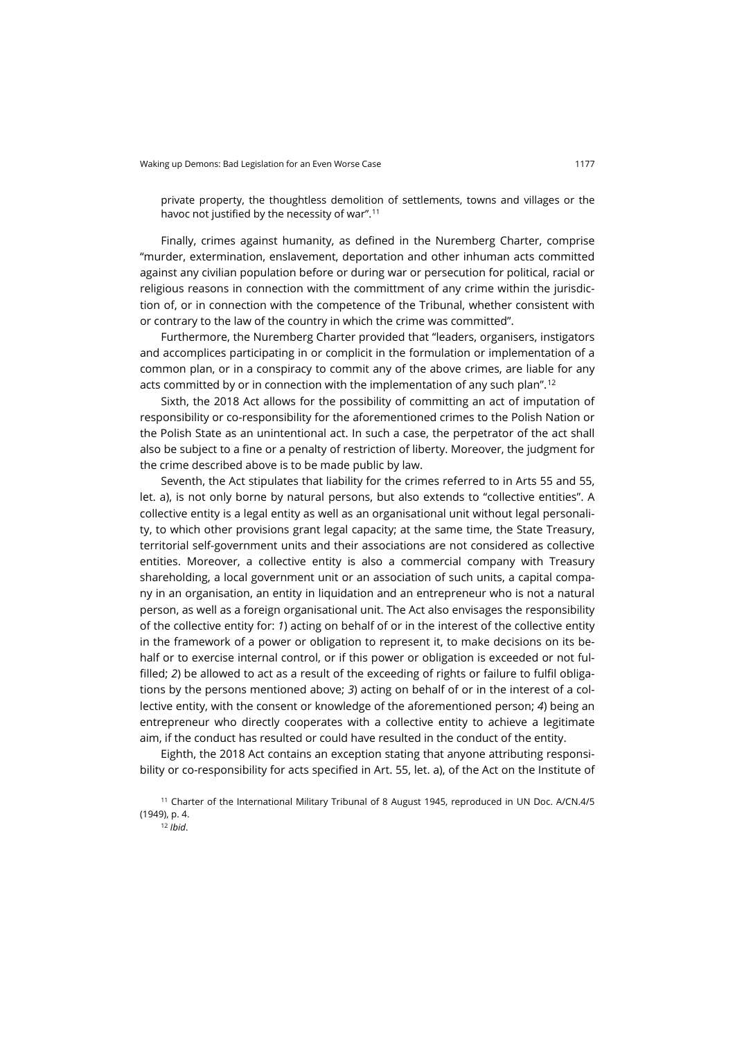private property, the thoughtless demolition of settlements, towns and villages or the havoc not justified by the necessity of war".<sup>[11](#page-6-0)</sup>

Finally, crimes against humanity, as defined in the Nuremberg Charter, comprise "murder, extermination, enslavement, deportation and other inhuman acts committed against any civilian population before or during war or persecution for political, racial or religious reasons in connection with the committment of any crime within the jurisdiction of, or in connection with the competence of the Tribunal, whether consistent with or contrary to the law of the country in which the crime was committed".

Furthermore, the Nuremberg Charter provided that "leaders, organisers, instigators and accomplices participating in or complicit in the formulation or implementation of a common plan, or in a conspiracy to commit any of the above crimes, are liable for any acts committed by or in connection with the implementation of any such plan".<sup>[12](#page-6-1)</sup>

Sixth, the 2018 Act allows for the possibility of committing an act of imputation of responsibility or co-responsibility for the aforementioned crimes to the Polish Nation or the Polish State as an unintentional act. In such a case, the perpetrator of the act shall also be subject to a fine or a penalty of restriction of liberty. Moreover, the judgment for the crime described above is to be made public by law.

Seventh, the Act stipulates that liability for the crimes referred to in Arts 55 and 55, let. a), is not only borne by natural persons, but also extends to "collective entities". A collective entity is a legal entity as well as an organisational unit without legal personality, to which other provisions grant legal capacity; at the same time, the State Treasury, territorial self-government units and their associations are not considered as collective entities. Moreover, a collective entity is also a commercial company with Treasury shareholding, a local government unit or an association of such units, a capital company in an organisation, an entity in liquidation and an entrepreneur who is not a natural person, as well as a foreign organisational unit. The Act also envisages the responsibility of the collective entity for: *1*) acting on behalf of or in the interest of the collective entity in the framework of a power or obligation to represent it, to make decisions on its behalf or to exercise internal control, or if this power or obligation is exceeded or not fulfilled; 2) be allowed to act as a result of the exceeding of rights or failure to fulfil obligations by the persons mentioned above; *3*) acting on behalf of or in the interest of a collective entity, with the consent or knowledge of the aforementioned person; *4*) being an entrepreneur who directly cooperates with a collective entity to achieve a legitimate aim, if the conduct has resulted or could have resulted in the conduct of the entity.

Eighth, the 2018 Act contains an exception stating that anyone attributing responsibility or co-responsibility for acts specified in Art. 55, let. a), of the Act on the Institute of

<span id="page-6-1"></span><span id="page-6-0"></span><sup>11</sup> Charter of the International Military Tribunal of 8 August 1945, reproduced in UN Doc. A/CN.4/5 (1949), p. 4.

<sup>12</sup> *Ibid*.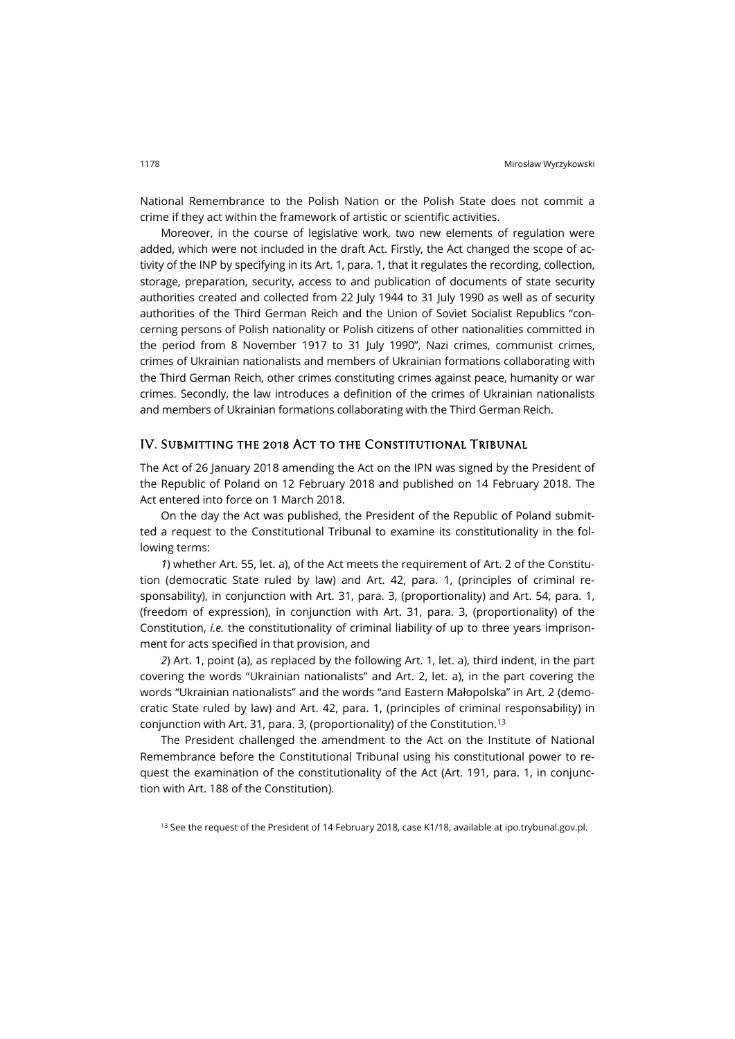National Remembrance to the Polish Nation or the Polish State does not commit a crime if they act within the framework of artistic or scientific activities.

Moreover, in the course of legislative work, two new elements of regulation were added, which were not included in the draft Act. Firstly, the Act changed the scope of activity of the INP by specifying in its Art. 1, para. 1, that it regulates the recording, collection, storage, preparation, security, access to and publication of documents of state security authorities created and collected from 22 July 1944 to 31 July 1990 as well as of security authorities of the Third German Reich and the Union of Soviet Socialist Republics "concerning persons of Polish nationality or Polish citizens of other nationalities committed in the period from 8 November 1917 to 31 July 1990", Nazi crimes, communist crimes, crimes of Ukrainian nationalists and members of Ukrainian formations collaborating with the Third German Reich, other crimes constituting crimes against peace, humanity or war crimes. Secondly, the law introduces a definition of the crimes of Ukrainian nationalists and members of Ukrainian formations collaborating with the Third German Reich.

#### IV. Submitting the 2018 Act to the Constitutional Tribunal

The Act of 26 January 2018 amending the Act on the IPN was signed by the President of the Republic of Poland on 12 February 2018 and published on 14 February 2018. The Act entered into force on 1 March 2018.

On the day the Act was published, the President of the Republic of Poland submitted a request to the Constitutional Tribunal to examine its constitutionality in the following terms:

*1*) whether Art. 55, let. a), of the Act meets the requirement of Art. 2 of the Constitution (democratic State ruled by law) and Art. 42, para. 1, (principles of criminal responsability), in conjunction with Art. 31, para. 3, (proportionality) and Art. 54, para. 1, (freedom of expression), in conjunction with Art. 31, para. 3, (proportionality) of the Constitution, *i.e.* the constitutionality of criminal liability of up to three years imprisonment for acts specified in that provision, and

*2*) Art. 1, point (a), as replaced by the following Art. 1, let. a), third indent, in the part covering the words "Ukrainian nationalists" and Art. 2, let. a), in the part covering the words "Ukrainian nationalists" and the words "and Eastern Małopolska" in Art. 2 (democratic State ruled by law) and Art. 42, para. 1, (principles of criminal responsability) in conjunction with Art. 31, para. 3, (proportionality) of the Constitution.[13](#page-7-0)

The President challenged the amendment to the Act on the Institute of National Remembrance before the Constitutional Tribunal using his constitutional power to request the examination of the constitutionality of the Act (Art. 191, para. 1, in conjunction with Art. 188 of the Constitution).

<span id="page-7-0"></span><sup>13</sup> See the request of the President of 14 February 2018, case K1/18, available a[t ipo.trybunal.gov.pl](https://ipo.trybunal.gov.pl/ipo/view/sprawa.xhtml?&pokaz=dokumenty&sygnatura=K%201/18).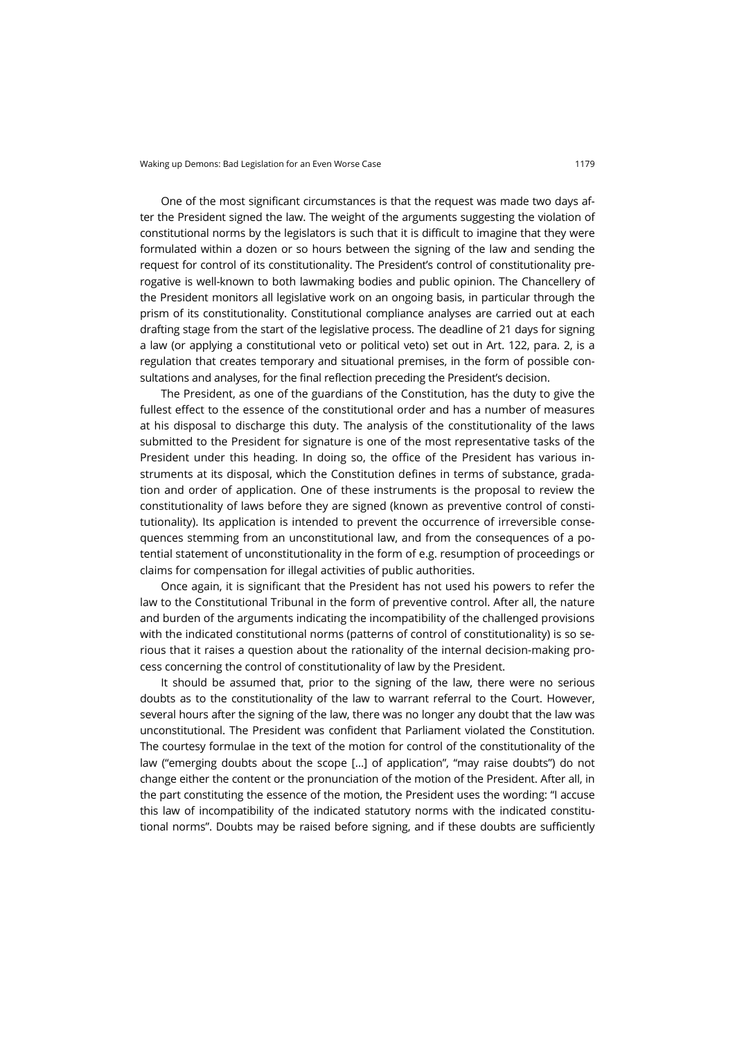One of the most significant circumstances is that the request was made two days after the President signed the law. The weight of the arguments suggesting the violation of constitutional norms by the legislators is such that it is difficult to imagine that they were formulated within a dozen or so hours between the signing of the law and sending the request for control of its constitutionality. The President's control of constitutionality prerogative is well-known to both lawmaking bodies and public opinion. The Chancellery of the President monitors all legislative work on an ongoing basis, in particular through the prism of its constitutionality. Constitutional compliance analyses are carried out at each drafting stage from the start of the legislative process. The deadline of 21 days for signing a law (or applying a constitutional veto or political veto) set out in Art. 122, para. 2, is a regulation that creates temporary and situational premises, in the form of possible consultations and analyses, for the final reflection preceding the President's decision.

The President, as one of the guardians of the Constitution, has the duty to give the fullest effect to the essence of the constitutional order and has a number of measures at his disposal to discharge this duty. The analysis of the constitutionality of the laws submitted to the President for signature is one of the most representative tasks of the President under this heading. In doing so, the office of the President has various instruments at its disposal, which the Constitution defines in terms of substance, gradation and order of application. One of these instruments is the proposal to review the constitutionality of laws before they are signed (known as preventive control of constitutionality). Its application is intended to prevent the occurrence of irreversible consequences stemming from an unconstitutional law, and from the consequences of a potential statement of unconstitutionality in the form of e.g. resumption of proceedings or claims for compensation for illegal activities of public authorities.

Once again, it is significant that the President has not used his powers to refer the law to the Constitutional Tribunal in the form of preventive control. After all, the nature and burden of the arguments indicating the incompatibility of the challenged provisions with the indicated constitutional norms (patterns of control of constitutionality) is so serious that it raises a question about the rationality of the internal decision-making process concerning the control of constitutionality of law by the President.

It should be assumed that, prior to the signing of the law, there were no serious doubts as to the constitutionality of the law to warrant referral to the Court. However, several hours after the signing of the law, there was no longer any doubt that the law was unconstitutional. The President was confident that Parliament violated the Constitution. The courtesy formulae in the text of the motion for control of the constitutionality of the law ("emerging doubts about the scope […] of application", "may raise doubts") do not change either the content or the pronunciation of the motion of the President. After all, in the part constituting the essence of the motion, the President uses the wording: "I accuse this law of incompatibility of the indicated statutory norms with the indicated constitutional norms". Doubts may be raised before signing, and if these doubts are sufficiently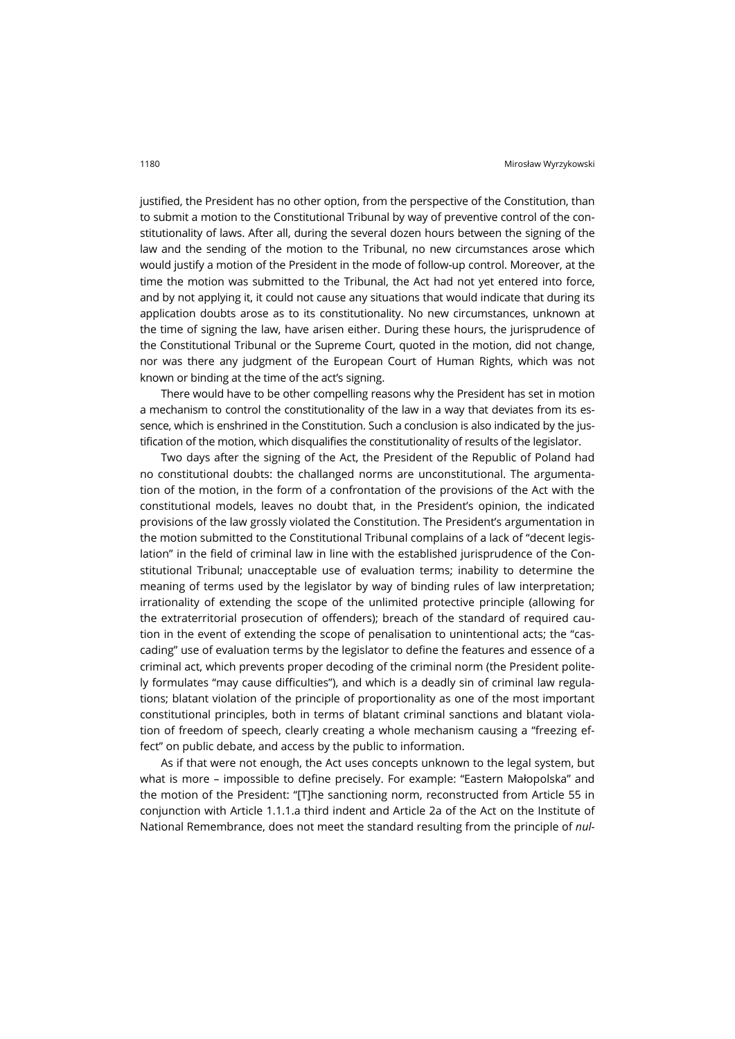justified, the President has no other option, from the perspective of the Constitution, than to submit a motion to the Constitutional Tribunal by way of preventive control of the constitutionality of laws. After all, during the several dozen hours between the signing of the law and the sending of the motion to the Tribunal, no new circumstances arose which would justify a motion of the President in the mode of follow-up control. Moreover, at the time the motion was submitted to the Tribunal, the Act had not yet entered into force, and by not applying it, it could not cause any situations that would indicate that during its application doubts arose as to its constitutionality. No new circumstances, unknown at the time of signing the law, have arisen either. During these hours, the jurisprudence of the Constitutional Tribunal or the Supreme Court, quoted in the motion, did not change, nor was there any judgment of the European Court of Human Rights, which was not known or binding at the time of the act's signing.

There would have to be other compelling reasons why the President has set in motion a mechanism to control the constitutionality of the law in a way that deviates from its essence, which is enshrined in the Constitution. Such a conclusion is also indicated by the justification of the motion, which disqualifies the constitutionality of results of the legislator.

Two days after the signing of the Act, the President of the Republic of Poland had no constitutional doubts: the challanged norms are unconstitutional. The argumentation of the motion, in the form of a confrontation of the provisions of the Act with the constitutional models, leaves no doubt that, in the President's opinion, the indicated provisions of the law grossly violated the Constitution. The President's argumentation in the motion submitted to the Constitutional Tribunal complains of a lack of "decent legislation" in the field of criminal law in line with the established jurisprudence of the Constitutional Tribunal; unacceptable use of evaluation terms; inability to determine the meaning of terms used by the legislator by way of binding rules of law interpretation; irrationality of extending the scope of the unlimited protective principle (allowing for the extraterritorial prosecution of offenders); breach of the standard of required caution in the event of extending the scope of penalisation to unintentional acts; the "cascading" use of evaluation terms by the legislator to define the features and essence of a criminal act, which prevents proper decoding of the criminal norm (the President politely formulates "may cause difficulties"), and which is a deadly sin of criminal law regulations; blatant violation of the principle of proportionality as one of the most important constitutional principles, both in terms of blatant criminal sanctions and blatant violation of freedom of speech, clearly creating a whole mechanism causing a "freezing effect" on public debate, and access by the public to information.

As if that were not enough, the Act uses concepts unknown to the legal system, but what is more – impossible to define precisely. For example: "Eastern Małopolska" and the motion of the President: "[T]he sanctioning norm, reconstructed from Article 55 in conjunction with Article 1.1.1.a third indent and Article 2a of the Act on the Institute of National Remembrance, does not meet the standard resulting from the principle of *nul-*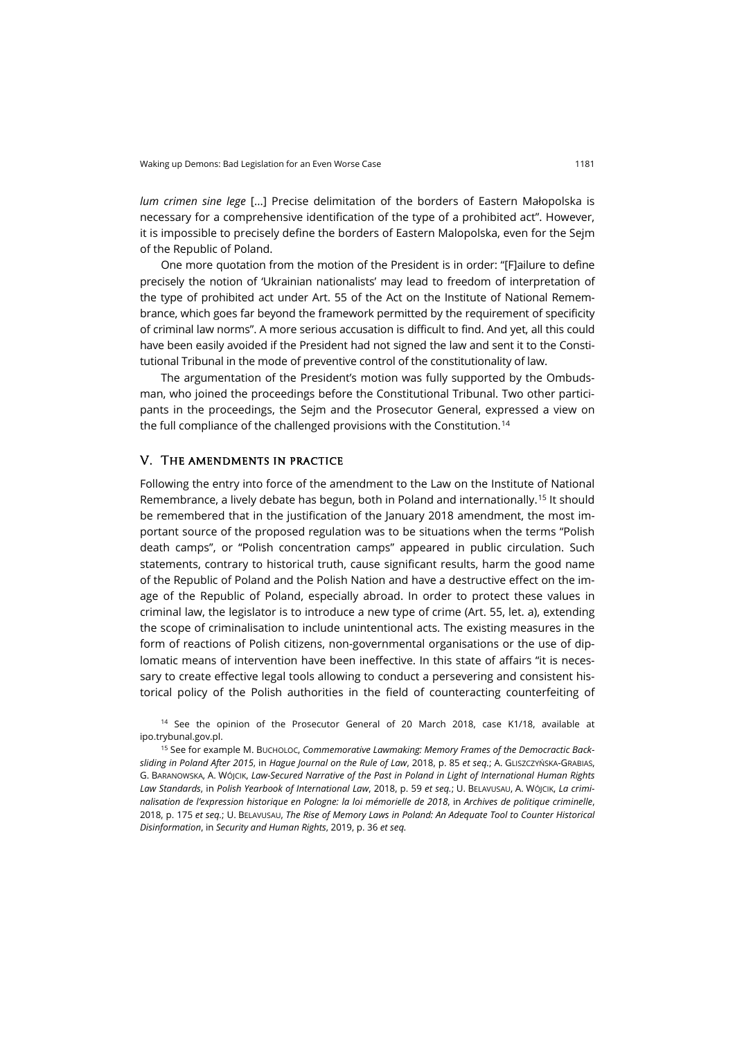*lum crimen sine lege* [...] Precise delimitation of the borders of Eastern Małopolska is necessary for a comprehensive identification of the type of a prohibited act". However, it is impossible to precisely define the borders of Eastern Malopolska, even for the Sejm of the Republic of Poland.

One more quotation from the motion of the President is in order: "[F]ailure to define precisely the notion of 'Ukrainian nationalists' may lead to freedom of interpretation of the type of prohibited act under Art. 55 of the Act on the Institute of National Remembrance, which goes far beyond the framework permitted by the requirement of specificity of criminal law norms". A more serious accusation is difficult to find. And yet, all this could have been easily avoided if the President had not signed the law and sent it to the Constitutional Tribunal in the mode of preventive control of the constitutionality of law.

The argumentation of the President's motion was fully supported by the Ombudsman, who joined the proceedings before the Constitutional Tribunal. Two other participants in the proceedings, the Sejm and the Prosecutor General, expressed a view on the full compliance of the challenged provisions with the Constitution.<sup>[14](#page-10-0)</sup>

#### V. The amendments in practice

Following the entry into force of the amendment to the Law on the Institute of National Remembrance, a lively debate has begun, both in Poland and internationally.[15](#page-10-1) It should be remembered that in the justification of the January 2018 amendment, the most important source of the proposed regulation was to be situations when the terms "Polish death camps", or "Polish concentration camps" appeared in public circulation. Such statements, contrary to historical truth, cause significant results, harm the good name of the Republic of Poland and the Polish Nation and have a destructive effect on the image of the Republic of Poland, especially abroad. In order to protect these values in criminal law, the legislator is to introduce a new type of crime (Art. 55, let. a), extending the scope of criminalisation to include unintentional acts. The existing measures in the form of reactions of Polish citizens, non-governmental organisations or the use of diplomatic means of intervention have been ineffective. In this state of affairs "it is necessary to create effective legal tools allowing to conduct a persevering and consistent historical policy of the Polish authorities in the field of counteracting counterfeiting of

<span id="page-10-0"></span><sup>14</sup> See the opinion of the Prosecutor General of 20 March 2018, case K1/18, available at [ipo.trybunal.gov.pl](https://ipo.trybunal.gov.pl/ipo/view/sprawa.xhtml?&pokaz=dokumenty&sygnatura=K%201/18).

<span id="page-10-1"></span><sup>15</sup> See for example M. BUCHOLOC, *Commemorative Lawmaking: Memory Frames of the Democractic Backsliding in Poland After 2015*, in *Hague Journal on the Rule of Law*, 2018, p. 85 *et seq.*; A. GLISZCZYŃSKA-GRABIAS, G. BARANOWSKA, A. WÓJCIK, *Law-Secured Narrative of the Past in Poland in Light of International Human Rights Law Standards*, in *Polish Yearbook of International Law*, 2018, p. 59 *et seq.*; U. BELAVUSAU, A. WÓJCIK, *La criminalisation de l'expression historique en Pologne: la loi mémorielle de 2018*, in *Archives de politique criminelle*, 2018, p. 175 *et seq.*; U. BELAVUSAU, *The Rise of Memory Laws in Poland: An Adequate Tool to Counter Historical Disinformation*, in *Security and Human Rights*, 2019, p. 36 *et seq.*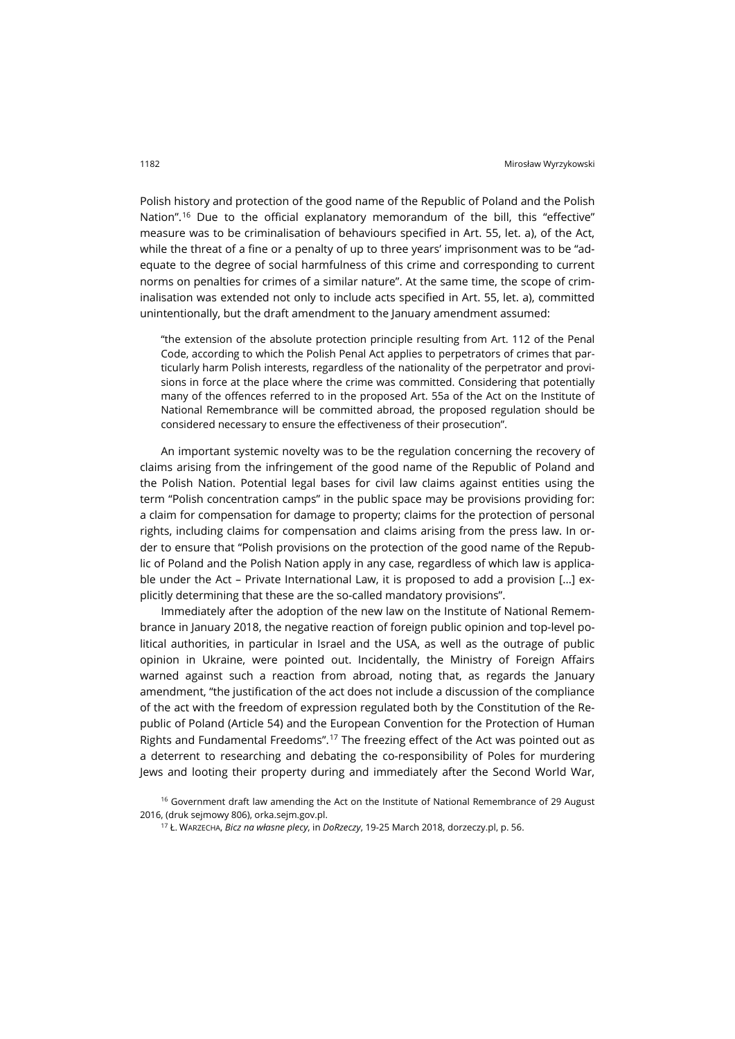Polish history and protection of the good name of the Republic of Poland and the Polish Nation".[16](#page-11-0) Due to the official explanatory memorandum of the bill, this "effective" measure was to be criminalisation of behaviours specified in Art. 55, let. a), of the Act, while the threat of a fine or a penalty of up to three years' imprisonment was to be "adequate to the degree of social harmfulness of this crime and corresponding to current norms on penalties for crimes of a similar nature". At the same time, the scope of criminalisation was extended not only to include acts specified in Art. 55, let. a), committed unintentionally, but the draft amendment to the January amendment assumed:

"the extension of the absolute protection principle resulting from Art. 112 of the Penal Code, according to which the Polish Penal Act applies to perpetrators of crimes that particularly harm Polish interests, regardless of the nationality of the perpetrator and provisions in force at the place where the crime was committed. Considering that potentially many of the offences referred to in the proposed Art. 55a of the Act on the Institute of National Remembrance will be committed abroad, the proposed regulation should be considered necessary to ensure the effectiveness of their prosecution".

An important systemic novelty was to be the regulation concerning the recovery of claims arising from the infringement of the good name of the Republic of Poland and the Polish Nation. Potential legal bases for civil law claims against entities using the term "Polish concentration camps" in the public space may be provisions providing for: a claim for compensation for damage to property; claims for the protection of personal rights, including claims for compensation and claims arising from the press law. In order to ensure that "Polish provisions on the protection of the good name of the Republic of Poland and the Polish Nation apply in any case, regardless of which law is applicable under the Act – Private International Law, it is proposed to add a provision [...] explicitly determining that these are the so-called mandatory provisions".

Immediately after the adoption of the new law on the Institute of National Remembrance in January 2018, the negative reaction of foreign public opinion and top-level political authorities, in particular in Israel and the USA, as well as the outrage of public opinion in Ukraine, were pointed out. Incidentally, the Ministry of Foreign Affairs warned against such a reaction from abroad, noting that, as regards the January amendment, "the justification of the act does not include a discussion of the compliance of the act with the freedom of expression regulated both by the Constitution of the Republic of Poland (Article 54) and the European Convention for the Protection of Human Rights and Fundamental Freedoms".[17](#page-11-1) The freezing effect of the Act was pointed out as a deterrent to researching and debating the co-responsibility of Poles for murdering Jews and looting their property during and immediately after the Second World War,

<span id="page-11-1"></span><span id="page-11-0"></span><sup>&</sup>lt;sup>16</sup> Government draft law amending the Act on the Institute of National Remembrance of 29 August 2016, (druk sejmowy 806)[, orka.sejm.gov.pl](http://orka.sejm.gov.pl/Druki8ka.nsf/0/EA4AD50371FF6D17C12580250039936A/%24File/806.pdf).

<sup>17</sup> Ł. WARZECHA, *Bicz na własne plecy*, in *DoRzeczy*, 19-25 March 2018, [dorzeczy.pl,](https://dorzeczy.pl/tygodnik/59349/bicz-na-wlasne-plecy.html) p. 56.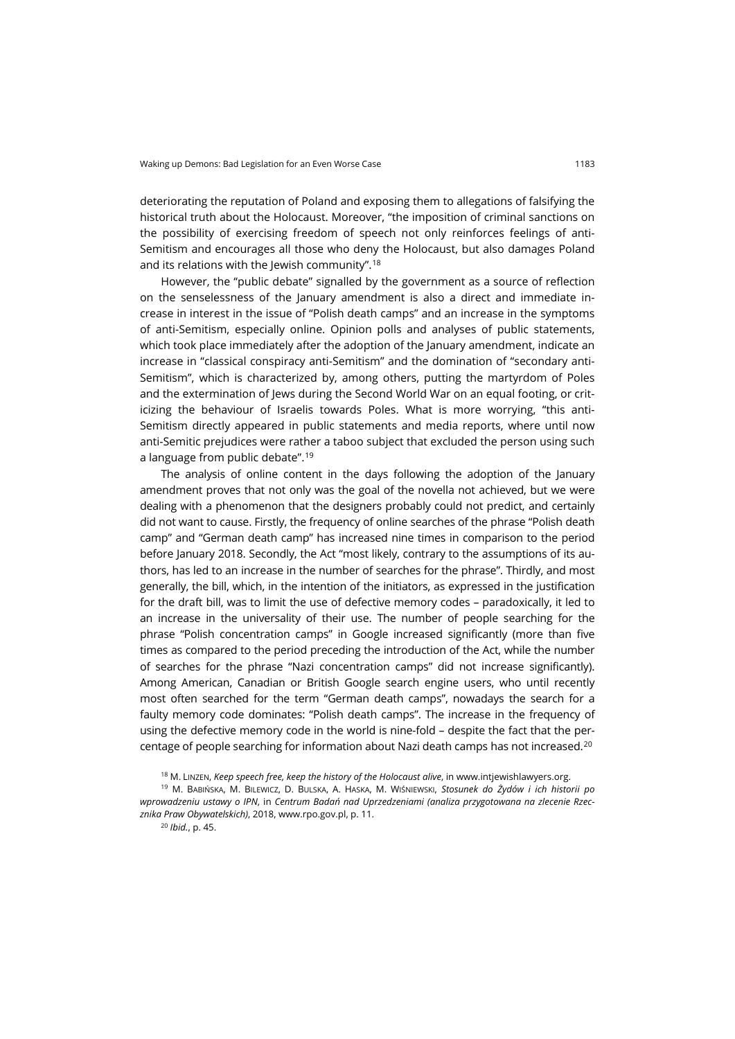deteriorating the reputation of Poland and exposing them to allegations of falsifying the historical truth about the Holocaust. Moreover, "the imposition of criminal sanctions on the possibility of exercising freedom of speech not only reinforces feelings of anti-Semitism and encourages all those who deny the Holocaust, but also damages Poland and its relations with the Jewish community".[18](#page-12-0)

However, the "public debate" signalled by the government as a source of reflection on the senselessness of the January amendment is also a direct and immediate increase in interest in the issue of "Polish death camps" and an increase in the symptoms of anti-Semitism, especially online. Opinion polls and analyses of public statements, which took place immediately after the adoption of the January amendment, indicate an increase in "classical conspiracy anti-Semitism" and the domination of "secondary anti-Semitism", which is characterized by, among others, putting the martyrdom of Poles and the extermination of Jews during the Second World War on an equal footing, or criticizing the behaviour of Israelis towards Poles. What is more worrying, "this anti-Semitism directly appeared in public statements and media reports, where until now anti-Semitic prejudices were rather a taboo subject that excluded the person using such a language from public debate".[19](#page-12-1)

The analysis of online content in the days following the adoption of the January amendment proves that not only was the goal of the novella not achieved, but we were dealing with a phenomenon that the designers probably could not predict, and certainly did not want to cause. Firstly, the frequency of online searches of the phrase "Polish death camp" and "German death camp" has increased nine times in comparison to the period before January 2018. Secondly, the Act "most likely, contrary to the assumptions of its authors, has led to an increase in the number of searches for the phrase". Thirdly, and most generally, the bill, which, in the intention of the initiators, as expressed in the justification for the draft bill, was to limit the use of defective memory codes – paradoxically, it led to an increase in the universality of their use. The number of people searching for the phrase "Polish concentration camps" in Google increased significantly (more than five times as compared to the period preceding the introduction of the Act, while the number of searches for the phrase "Nazi concentration camps" did not increase significantly). Among American, Canadian or British Google search engine users, who until recently most often searched for the term "German death camps", nowadays the search for a faulty memory code dominates: "Polish death camps". The increase in the frequency of using the defective memory code in the world is nine-fold – despite the fact that the per-centage of people searching for information about Nazi death camps has not increased.<sup>[20](#page-12-2)</sup>

<sup>20</sup> *Ibid.*, p. 45.

<sup>18</sup> M. LINZEN, *Keep speech free, keep the history of the Holocaust alive*, i[n www.intjewishlawyers.org](http://www.intjewishlawyers.org/site/Keep-speech-free-keep-the-history-of-the-Holocaust-alive/).

<span id="page-12-2"></span><span id="page-12-1"></span><span id="page-12-0"></span><sup>19</sup> M. BABIŃSKA, M. BILEWICZ, D. BULSKA, A. HASKA, M. WIŚNIEWSKI, *Stosunek do Żydów i ich historii po wprowadzeniu ustawy o IPN*, in *Centrum Badań nad Uprzedzeniami (analiza przygotowana na zlecenie Rzecznika Praw Obywatelskich)*, 2018[, www.rpo.gov.pl,](https://www.rpo.gov.pl/sites/default/files/Analiza_Skutki_ustawy_o_IPN.pdf) p. 11.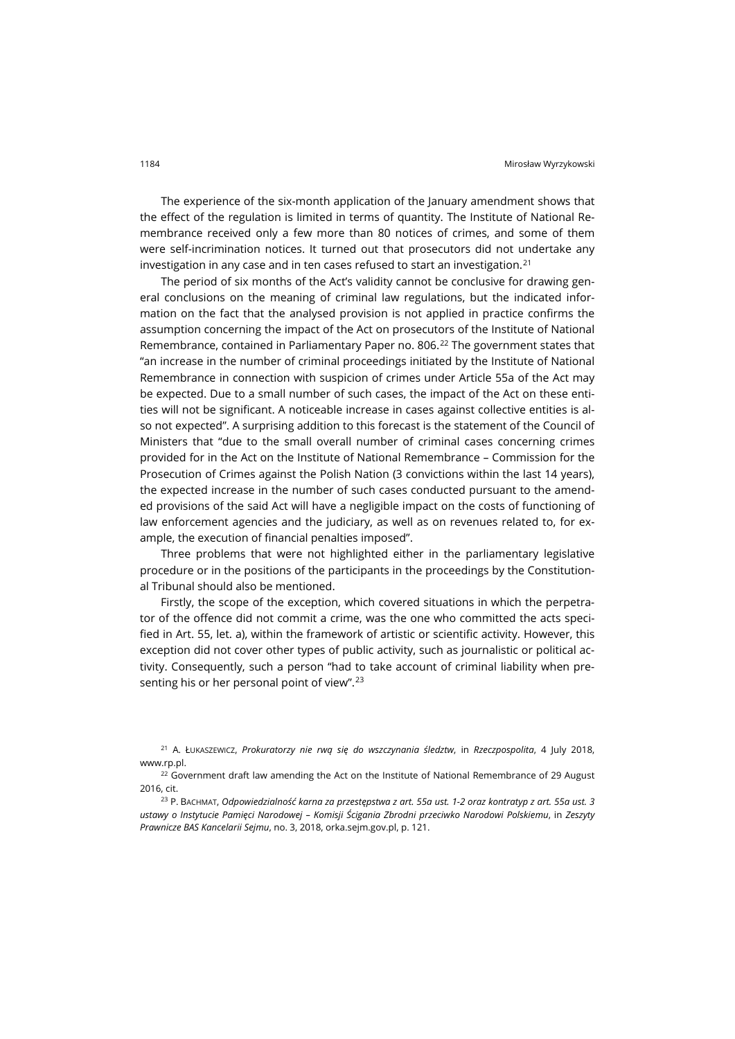The experience of the six-month application of the January amendment shows that the effect of the regulation is limited in terms of quantity. The Institute of National Remembrance received only a few more than 80 notices of crimes, and some of them were self-incrimination notices. It turned out that prosecutors did not undertake any investigation in any case and in ten cases refused to start an investigation.<sup>[21](#page-13-0)</sup>

The period of six months of the Act's validity cannot be conclusive for drawing general conclusions on the meaning of criminal law regulations, but the indicated information on the fact that the analysed provision is not applied in practice confirms the assumption concerning the impact of the Act on prosecutors of the Institute of National Remembrance, contained in Parliamentary Paper no. 806.<sup>[22](#page-13-1)</sup> The government states that "an increase in the number of criminal proceedings initiated by the Institute of National Remembrance in connection with suspicion of crimes under Article 55a of the Act may be expected. Due to a small number of such cases, the impact of the Act on these entities will not be significant. A noticeable increase in cases against collective entities is also not expected". A surprising addition to this forecast is the statement of the Council of Ministers that "due to the small overall number of criminal cases concerning crimes provided for in the Act on the Institute of National Remembrance – Commission for the Prosecution of Crimes against the Polish Nation (3 convictions within the last 14 years), the expected increase in the number of such cases conducted pursuant to the amended provisions of the said Act will have a negligible impact on the costs of functioning of law enforcement agencies and the judiciary, as well as on revenues related to, for example, the execution of financial penalties imposed".

Three problems that were not highlighted either in the parliamentary legislative procedure or in the positions of the participants in the proceedings by the Constitutional Tribunal should also be mentioned.

Firstly, the scope of the exception, which covered situations in which the perpetrator of the offence did not commit a crime, was the one who committed the acts specified in Art. 55, let. a), within the framework of artistic or scientific activity. However, this exception did not cover other types of public activity, such as journalistic or political activity. Consequently, such a person "had to take account of criminal liability when presenting his or her personal point of view".[23](#page-13-2)

<span id="page-13-0"></span><sup>21</sup> A. ŁUKASZEWICZ, *Prokuratorzy nie rwą się do wszczynania śledztw*, in *Rzeczpospolita*, 4 July 2018, [www.rp.pl](http://www.rp.pl/).

<span id="page-13-1"></span><sup>22</sup> Government draft law amending the Act on the Institute of National Remembrance of 29 August 2016, cit.

<span id="page-13-2"></span><sup>23</sup> P. BACHMAT, *Odpowiedzialność karna za przestępstwa z art. 55a ust. 1-2 oraz kontratyp z art. 55a ust. 3 ustawy o Instytucie Pamięci Narodowej – Komisji Ścigania Zbrodni przeciwko Narodowi Polskiemu*, in *Zeszyty Prawnicze BAS Kancelarii Sejmu*, no. 3, 2018[, orka.sejm.gov.pl,](http://orka.sejm.gov.pl/WydBAS.nsf/0/603B4A2461389990C125834600333FF1/$file/9.Pawe%C5%82%20Bachmat.pdf) p. 121.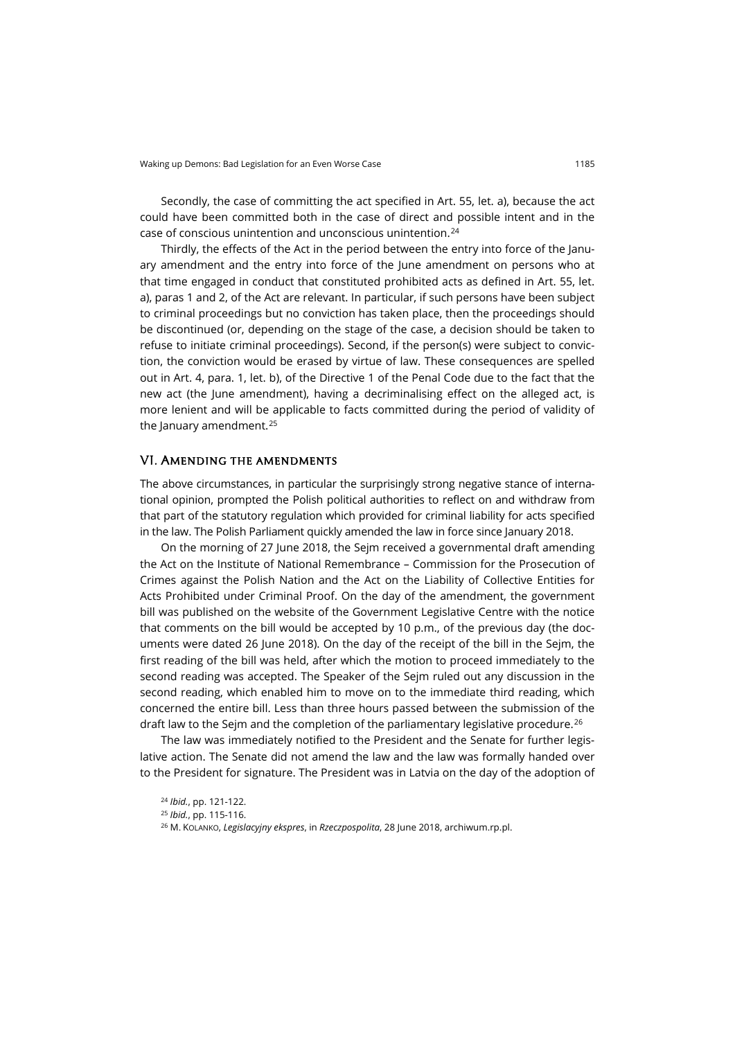Secondly, the case of committing the act specified in Art. 55, let. a), because the act could have been committed both in the case of direct and possible intent and in the case of conscious unintention and unconscious unintention.[24](#page-14-0)

Thirdly, the effects of the Act in the period between the entry into force of the January amendment and the entry into force of the June amendment on persons who at that time engaged in conduct that constituted prohibited acts as defined in Art. 55, let. a), paras 1 and 2, of the Act are relevant. In particular, if such persons have been subject to criminal proceedings but no conviction has taken place, then the proceedings should be discontinued (or, depending on the stage of the case, a decision should be taken to refuse to initiate criminal proceedings). Second, if the person(s) were subject to conviction, the conviction would be erased by virtue of law. These consequences are spelled out in Art. 4, para. 1, let. b), of the Directive 1 of the Penal Code due to the fact that the new act (the June amendment), having a decriminalising effect on the alleged act, is more lenient and will be applicable to facts committed during the period of validity of the January amendment.<sup>[25](#page-14-1)</sup>

#### VI. Amending the amendments

The above circumstances, in particular the surprisingly strong negative stance of international opinion, prompted the Polish political authorities to reflect on and withdraw from that part of the statutory regulation which provided for criminal liability for acts specified in the law. The Polish Parliament quickly amended the law in force since January 2018.

On the morning of 27 June 2018, the Sejm received a governmental draft amending the Act on the Institute of National Remembrance – Commission for the Prosecution of Crimes against the Polish Nation and the Act on the Liability of Collective Entities for Acts Prohibited under Criminal Proof. On the day of the amendment, the government bill was published on the website of the Government Legislative Centre with the notice that comments on the bill would be accepted by 10 p.m., of the previous day (the documents were dated 26 June 2018). On the day of the receipt of the bill in the Sejm, the first reading of the bill was held, after which the motion to proceed immediately to the second reading was accepted. The Speaker of the Sejm ruled out any discussion in the second reading, which enabled him to move on to the immediate third reading, which concerned the entire bill. Less than three hours passed between the submission of the draft law to the Sejm and the completion of the parliamentary legislative procedure.<sup>[26](#page-14-2)</sup>

<span id="page-14-1"></span><span id="page-14-0"></span>The law was immediately notified to the President and the Senate for further legislative action. The Senate did not amend the law and the law was formally handed over to the President for signature. The President was in Latvia on the day of the adoption of

<span id="page-14-2"></span><sup>24</sup> *Ibid.*, pp. 121-122. <sup>25</sup> *Ibid.*, pp. 115-116. <sup>26</sup> M. KOLANKO, *Legislacyjny ekspres*, in *Rzeczpospolita*, 28 June 2018[, archiwum.rp.pl](http://archiwum.rp.pl/artykul/1379915-Legislacyjny-ekspres.html).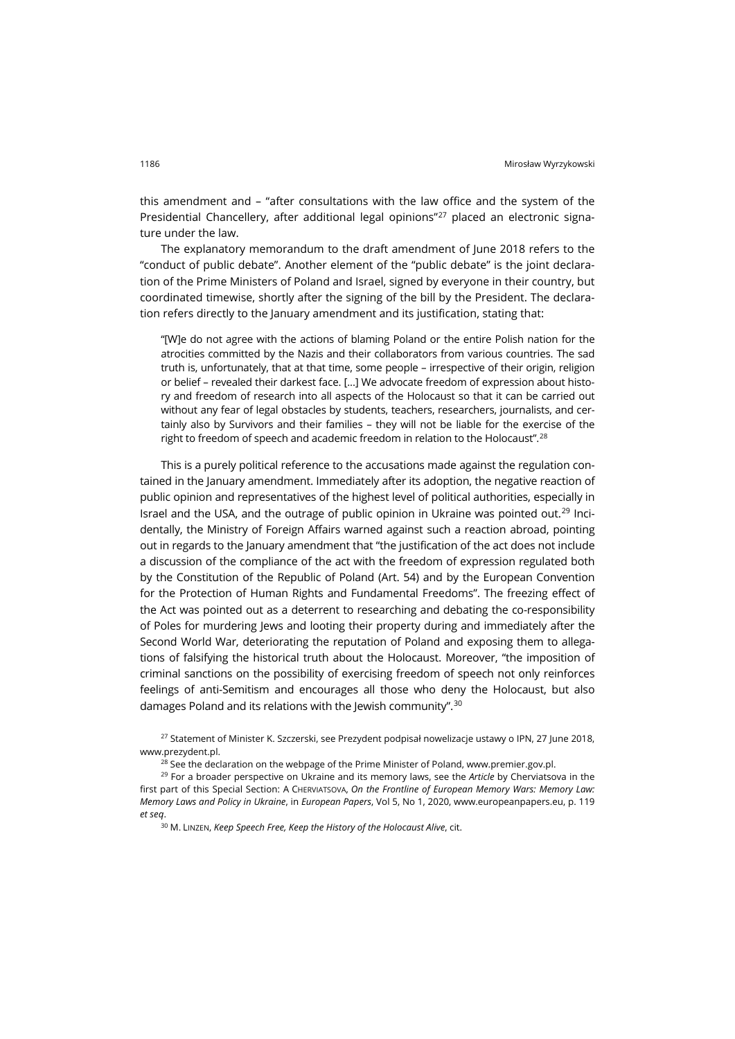this amendment and – "after consultations with the law office and the system of the Presidential Chancellery, after additional legal opinions"[27](#page-15-0) placed an electronic signature under the law.

The explanatory memorandum to the draft amendment of June 2018 refers to the "conduct of public debate". Another element of the "public debate" is the joint declaration of the Prime Ministers of Poland and Israel, signed by everyone in their country, but coordinated timewise, shortly after the signing of the bill by the President. The declaration refers directly to the January amendment and its justification, stating that:

"[W]e do not agree with the actions of blaming Poland or the entire Polish nation for the atrocities committed by the Nazis and their collaborators from various countries. The sad truth is, unfortunately, that at that time, some people – irrespective of their origin, religion or belief – revealed their darkest face. [...] We advocate freedom of expression about history and freedom of research into all aspects of the Holocaust so that it can be carried out without any fear of legal obstacles by students, teachers, researchers, journalists, and certainly also by Survivors and their families – they will not be liable for the exercise of the right to freedom of speech and academic freedom in relation to the Holocaust".<sup>[28](#page-15-1)</sup>

This is a purely political reference to the accusations made against the regulation contained in the January amendment. Immediately after its adoption, the negative reaction of public opinion and representatives of the highest level of political authorities, especially in Israel and the USA, and the outrage of public opinion in Ukraine was pointed out.<sup>[29](#page-15-2)</sup> Incidentally, the Ministry of Foreign Affairs warned against such a reaction abroad, pointing out in regards to the January amendment that "the justification of the act does not include a discussion of the compliance of the act with the freedom of expression regulated both by the Constitution of the Republic of Poland (Art. 54) and by the European Convention for the Protection of Human Rights and Fundamental Freedoms". The freezing effect of the Act was pointed out as a deterrent to researching and debating the co-responsibility of Poles for murdering Jews and looting their property during and immediately after the Second World War, deteriorating the reputation of Poland and exposing them to allegations of falsifying the historical truth about the Holocaust. Moreover, "the imposition of criminal sanctions on the possibility of exercising freedom of speech not only reinforces feelings of anti-Semitism and encourages all those who deny the Holocaust, but also damages Poland and its relations with the Jewish community".[30](#page-15-3)

<span id="page-15-0"></span><sup>27</sup> Statement of Minister K. Szczerski, see Prezydent podpisał nowelizacje ustawy o IPN, 27 June 2018, [www.prezydent.pl](https://www.prezydent.pl/aktualnosci/wydarzenia/art,1052,prezydent-podpisal-nowelizacje-ustawy-o-ipn.html).

<sup>28</sup> See the declaration on the webpage of the Prime Minister of Poland[, www.premier.gov.pl](https://www.premier.gov.pl/wydarzenia/aktualnosci/wspolna-deklaracja-premierow-panstwa-izrael-i-rzeczypospolitej-polskiej.html).

<span id="page-15-3"></span><span id="page-15-2"></span><span id="page-15-1"></span><sup>29</sup> For a broader perspective on Ukraine and its memory laws, see the *Article* by Cherviatsova in the first part of this Special Section: A CHERVIATSOVA, *On the Frontline of European Memory Wars: Memory Law: Memory Laws and Policy in Ukraine*, in *European Papers*, Vol 5, No 1, 2020, [www.europeanpapers.eu,](https://www.europeanpapers.eu/en/e-journal/frontline-of-european-memory-wars-laws-and-policy-in-ukraine) p. 119 *et seq*.

<sup>30</sup> M. LINZEN, *Keep Speech Free, Keep the History of the Holocaust Alive*, cit.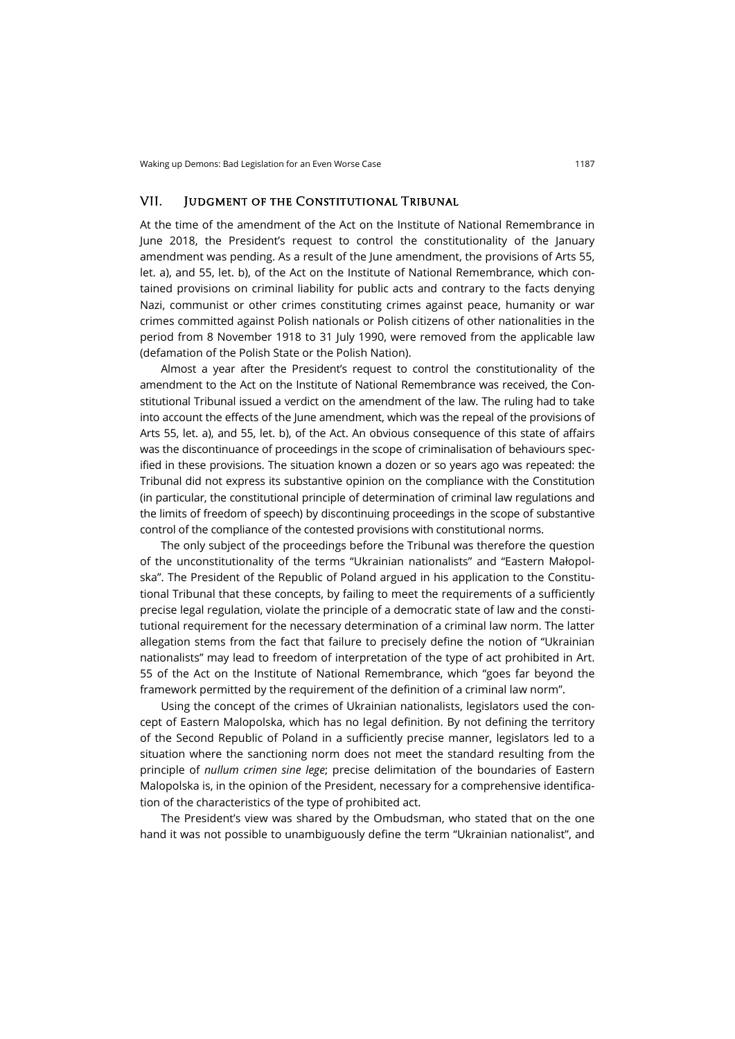#### VII. Judgment of the Constitutional Tribunal

At the time of the amendment of the Act on the Institute of National Remembrance in June 2018, the President's request to control the constitutionality of the January amendment was pending. As a result of the June amendment, the provisions of Arts 55, let. a), and 55, let. b), of the Act on the Institute of National Remembrance, which contained provisions on criminal liability for public acts and contrary to the facts denying Nazi, communist or other crimes constituting crimes against peace, humanity or war crimes committed against Polish nationals or Polish citizens of other nationalities in the period from 8 November 1918 to 31 July 1990, were removed from the applicable law (defamation of the Polish State or the Polish Nation).

Almost a year after the President's request to control the constitutionality of the amendment to the Act on the Institute of National Remembrance was received, the Constitutional Tribunal issued a verdict on the amendment of the law. The ruling had to take into account the effects of the June amendment, which was the repeal of the provisions of Arts 55, let. a), and 55, let. b), of the Act. An obvious consequence of this state of affairs was the discontinuance of proceedings in the scope of criminalisation of behaviours specified in these provisions. The situation known a dozen or so years ago was repeated: the Tribunal did not express its substantive opinion on the compliance with the Constitution (in particular, the constitutional principle of determination of criminal law regulations and the limits of freedom of speech) by discontinuing proceedings in the scope of substantive control of the compliance of the contested provisions with constitutional norms.

The only subject of the proceedings before the Tribunal was therefore the question of the unconstitutionality of the terms "Ukrainian nationalists" and "Eastern Małopolska". The President of the Republic of Poland argued in his application to the Constitutional Tribunal that these concepts, by failing to meet the requirements of a sufficiently precise legal regulation, violate the principle of a democratic state of law and the constitutional requirement for the necessary determination of a criminal law norm. The latter allegation stems from the fact that failure to precisely define the notion of "Ukrainian nationalists" may lead to freedom of interpretation of the type of act prohibited in Art. 55 of the Act on the Institute of National Remembrance, which "goes far beyond the framework permitted by the requirement of the definition of a criminal law norm".

Using the concept of the crimes of Ukrainian nationalists, legislators used the concept of Eastern Malopolska, which has no legal definition. By not defining the territory of the Second Republic of Poland in a sufficiently precise manner, legislators led to a situation where the sanctioning norm does not meet the standard resulting from the principle of *nullum crimen sine lege*; precise delimitation of the boundaries of Eastern Malopolska is, in the opinion of the President, necessary for a comprehensive identification of the characteristics of the type of prohibited act.

The President's view was shared by the Ombudsman, who stated that on the one hand it was not possible to unambiguously define the term "Ukrainian nationalist", and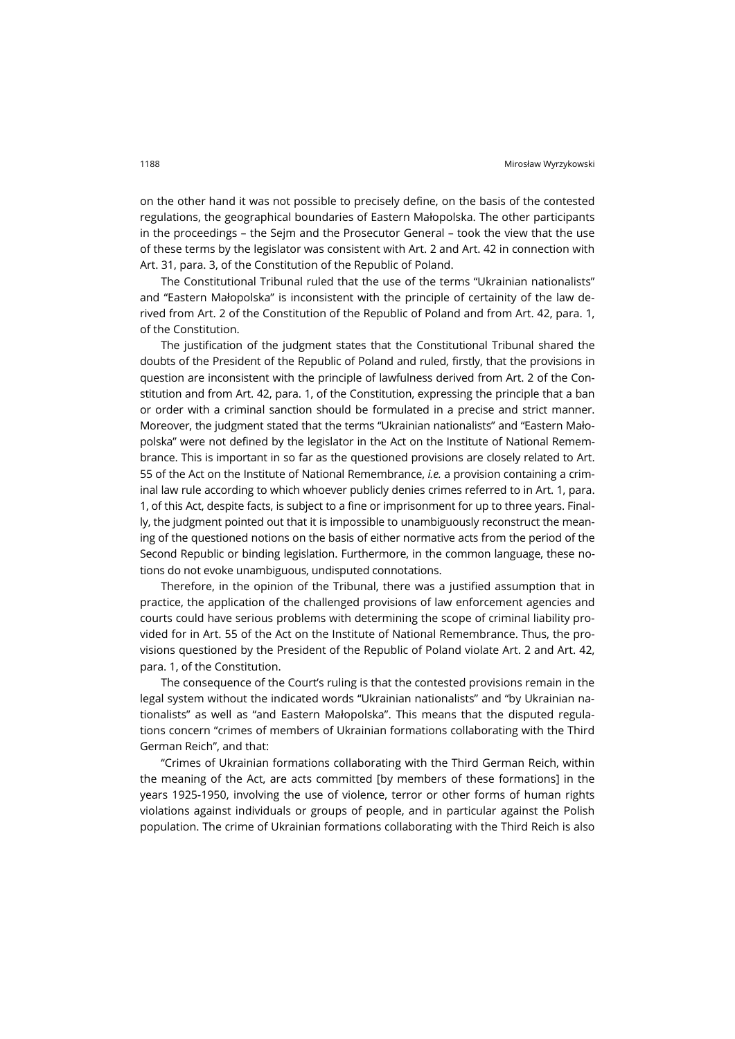on the other hand it was not possible to precisely define, on the basis of the contested regulations, the geographical boundaries of Eastern Małopolska. The other participants in the proceedings – the Sejm and the Prosecutor General – took the view that the use of these terms by the legislator was consistent with Art. 2 and Art. 42 in connection with Art. 31, para. 3, of the Constitution of the Republic of Poland.

The Constitutional Tribunal ruled that the use of the terms "Ukrainian nationalists" and "Eastern Małopolska" is inconsistent with the principle of certainity of the law derived from Art. 2 of the Constitution of the Republic of Poland and from Art. 42, para. 1, of the Constitution.

The justification of the judgment states that the Constitutional Tribunal shared the doubts of the President of the Republic of Poland and ruled, firstly, that the provisions in question are inconsistent with the principle of lawfulness derived from Art. 2 of the Constitution and from Art. 42, para. 1, of the Constitution, expressing the principle that a ban or order with a criminal sanction should be formulated in a precise and strict manner. Moreover, the judgment stated that the terms "Ukrainian nationalists" and "Eastern Małopolska" were not defined by the legislator in the Act on the Institute of National Remembrance. This is important in so far as the questioned provisions are closely related to Art. 55 of the Act on the Institute of National Remembrance, *i.e.* a provision containing a criminal law rule according to which whoever publicly denies crimes referred to in Art. 1, para. 1, of this Act, despite facts, is subject to a fine or imprisonment for up to three years. Finally, the judgment pointed out that it is impossible to unambiguously reconstruct the meaning of the questioned notions on the basis of either normative acts from the period of the Second Republic or binding legislation. Furthermore, in the common language, these notions do not evoke unambiguous, undisputed connotations.

Therefore, in the opinion of the Tribunal, there was a justified assumption that in practice, the application of the challenged provisions of law enforcement agencies and courts could have serious problems with determining the scope of criminal liability provided for in Art. 55 of the Act on the Institute of National Remembrance. Thus, the provisions questioned by the President of the Republic of Poland violate Art. 2 and Art. 42, para. 1, of the Constitution.

The consequence of the Court's ruling is that the contested provisions remain in the legal system without the indicated words "Ukrainian nationalists" and "by Ukrainian nationalists" as well as "and Eastern Małopolska". This means that the disputed regulations concern "crimes of members of Ukrainian formations collaborating with the Third German Reich", and that:

"Crimes of Ukrainian formations collaborating with the Third German Reich, within the meaning of the Act, are acts committed [by members of these formations] in the years 1925-1950, involving the use of violence, terror or other forms of human rights violations against individuals or groups of people, and in particular against the Polish population. The crime of Ukrainian formations collaborating with the Third Reich is also